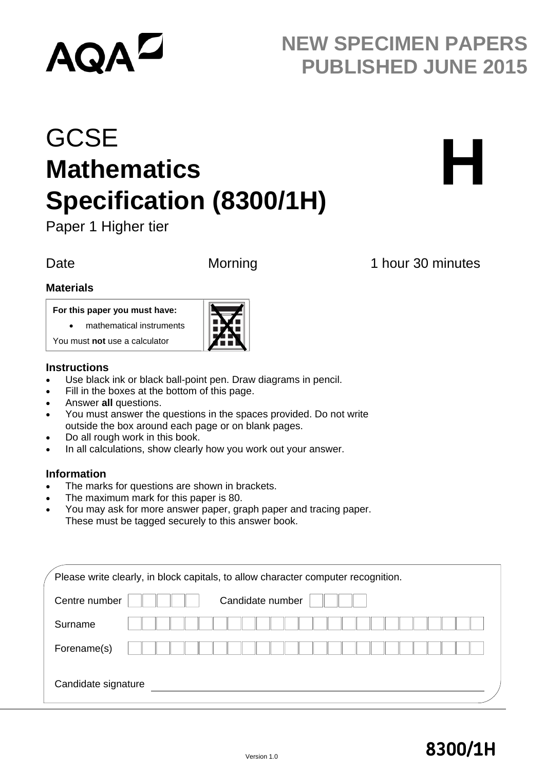# **AQA<sup>L</sup>**

# **NEW SPECIMEN PAPERS PUBLISHED JUNE 2015**

# **GCSE Mathematics Specification (8300/1H)**



Paper 1 Higher tier

### Date Morning 1 hour 30 minutes

#### **Materials**

#### **For this paper you must have:**

You must **not** use a calculator

mathematical instruments



#### Ī **Instructions**

- Use black ink or black ball-point pen. Draw diagrams in pencil.
- Fill in the boxes at the bottom of this page.
- Answer **all** questions.
- You must answer the questions in the spaces provided. Do not write outside the box around each page or on blank pages.
- Do all rough work in this book.
- In all calculations, show clearly how you work out your answer.

#### **Information**

- The marks for questions are shown in brackets.
- The maximum mark for this paper is 80.
- You may ask for more answer paper, graph paper and tracing paper. These must be tagged securely to this answer book.

| Centre number |  |  |  | Candidate number |  |  |  |  |  |  |  |  |
|---------------|--|--|--|------------------|--|--|--|--|--|--|--|--|
| Surname       |  |  |  |                  |  |  |  |  |  |  |  |  |
| Forename(s)   |  |  |  |                  |  |  |  |  |  |  |  |  |
|               |  |  |  |                  |  |  |  |  |  |  |  |  |

# Version 1.0 **8300/1H**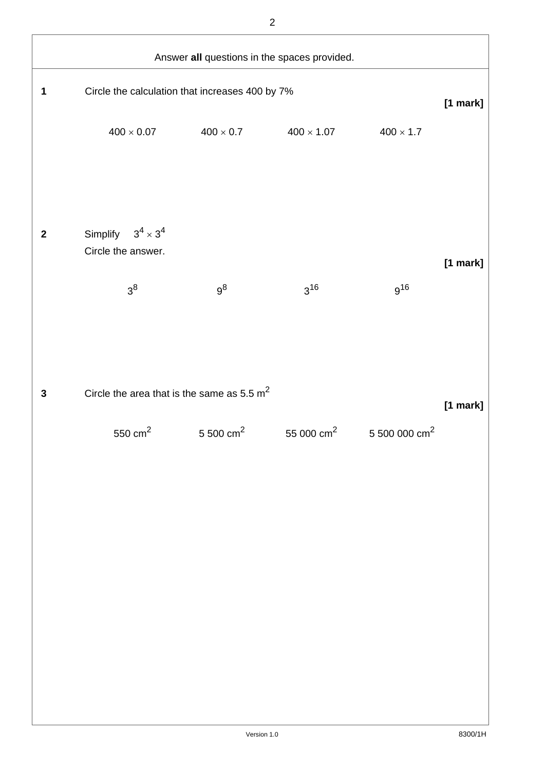| Answer all questions in the spaces provided. |                                                          |       |                                                                                    |                 |            |  |
|----------------------------------------------|----------------------------------------------------------|-------|------------------------------------------------------------------------------------|-----------------|------------|--|
| 1                                            | Circle the calculation that increases 400 by 7%          |       |                                                                                    |                 | $[1$ mark] |  |
|                                              | $400 \times 0.07$                                        |       | $400 \times 0.7$ $400 \times 1.07$                                                 | $400\times1.7$  |            |  |
| $\boldsymbol{2}$                             | Simplify $3^4 \times 3^4$<br>Circle the answer.<br>$3^8$ | $9^8$ | $3^{16}$                                                                           | g <sup>16</sup> | $[1$ mark] |  |
| $\mathbf{3}$                                 | Circle the area that is the same as $5.5 \text{ m}^2$    |       | $550 \text{ cm}^2$ $5500 \text{ cm}^2$ $55000 \text{ cm}^2$ $5500000 \text{ cm}^2$ |                 | $[1$ mark] |  |
|                                              |                                                          |       |                                                                                    |                 |            |  |
|                                              |                                                          |       |                                                                                    |                 |            |  |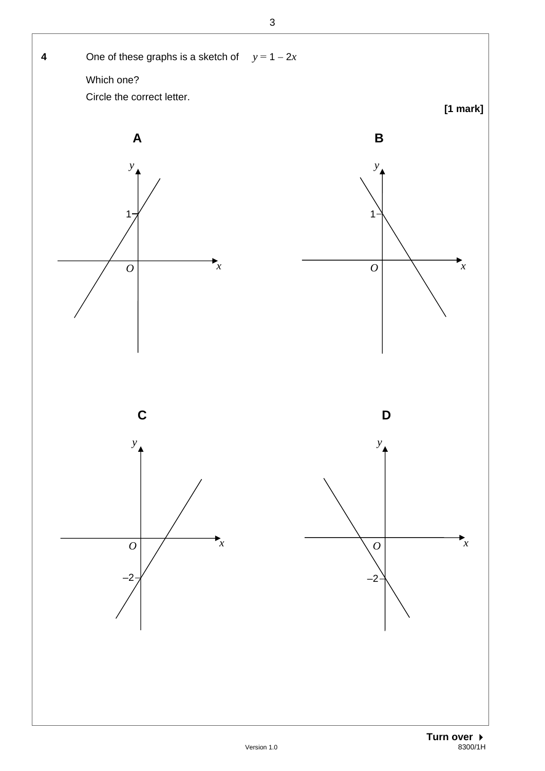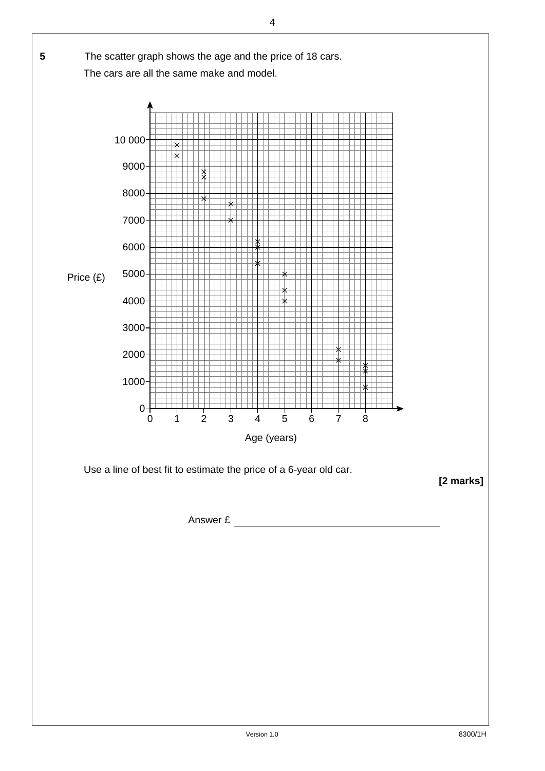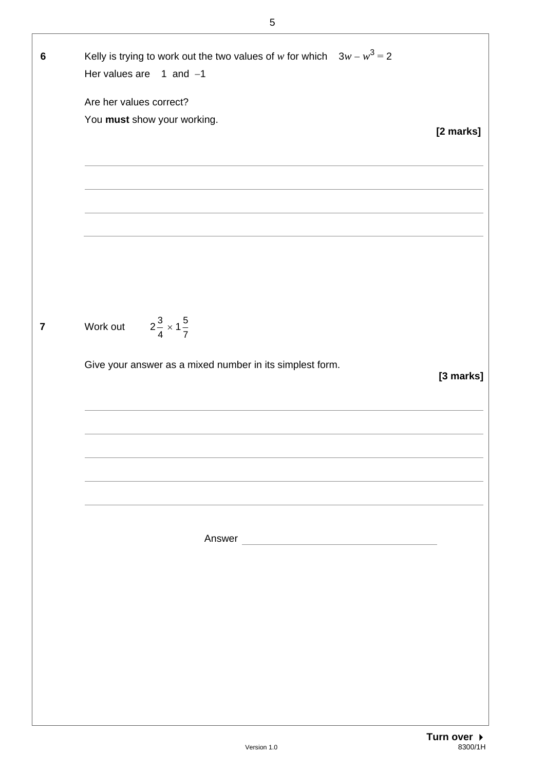| 6              | Kelly is trying to work out the two values of w for which $3w - w^3 = 2$<br>Her values are $1$ and $-1$ |           |
|----------------|---------------------------------------------------------------------------------------------------------|-----------|
|                | Are her values correct?                                                                                 |           |
|                | You must show your working.                                                                             |           |
|                |                                                                                                         | [2 marks] |
|                |                                                                                                         |           |
|                |                                                                                                         |           |
|                |                                                                                                         |           |
|                |                                                                                                         |           |
|                |                                                                                                         |           |
|                |                                                                                                         |           |
|                |                                                                                                         |           |
|                |                                                                                                         |           |
| $\overline{7}$ | Work out $2\frac{3}{4} \times 1\frac{5}{7}$                                                             |           |
|                | Give your answer as a mixed number in its simplest form.                                                |           |
|                |                                                                                                         | [3 marks] |
|                |                                                                                                         |           |
|                |                                                                                                         |           |
|                |                                                                                                         |           |
|                |                                                                                                         |           |
|                |                                                                                                         |           |
|                |                                                                                                         |           |
|                |                                                                                                         |           |
|                |                                                                                                         |           |
|                |                                                                                                         |           |
|                |                                                                                                         |           |
|                |                                                                                                         |           |
|                |                                                                                                         |           |
|                |                                                                                                         |           |
|                |                                                                                                         |           |
|                |                                                                                                         |           |
|                |                                                                                                         |           |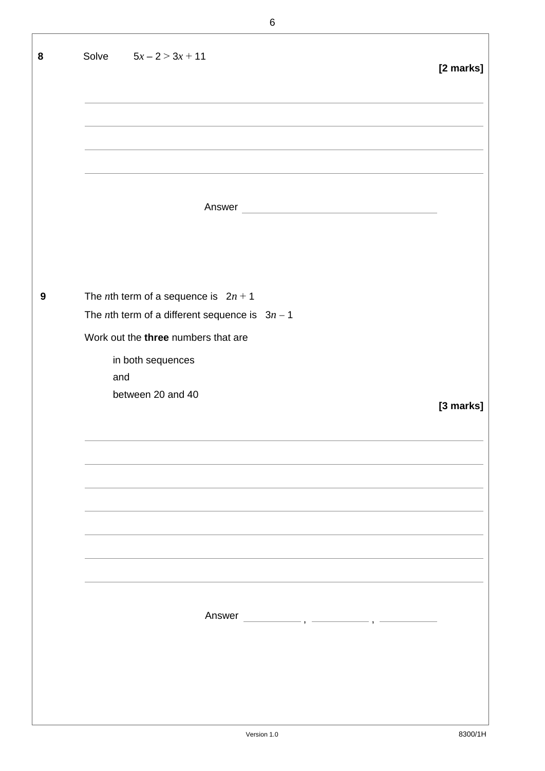| 8 | Solve $5x - 2 > 3x + 11$                                                                                                                          | [2 marks] |
|---|---------------------------------------------------------------------------------------------------------------------------------------------------|-----------|
|   |                                                                                                                                                   |           |
|   | Answer<br><u> 1980 - Johann Barbara, martxa alemaniar a</u>                                                                                       |           |
| 9 | The <i>n</i> th term of a sequence is $2n + 1$<br>The <i>n</i> th term of a different sequence is $3n - 1$<br>Work out the three numbers that are |           |
|   | in both sequences<br>and<br>between 20 and 40                                                                                                     | [3 marks] |
|   |                                                                                                                                                   |           |
|   |                                                                                                                                                   |           |
|   | Answer                                                                                                                                            |           |
|   |                                                                                                                                                   |           |

┚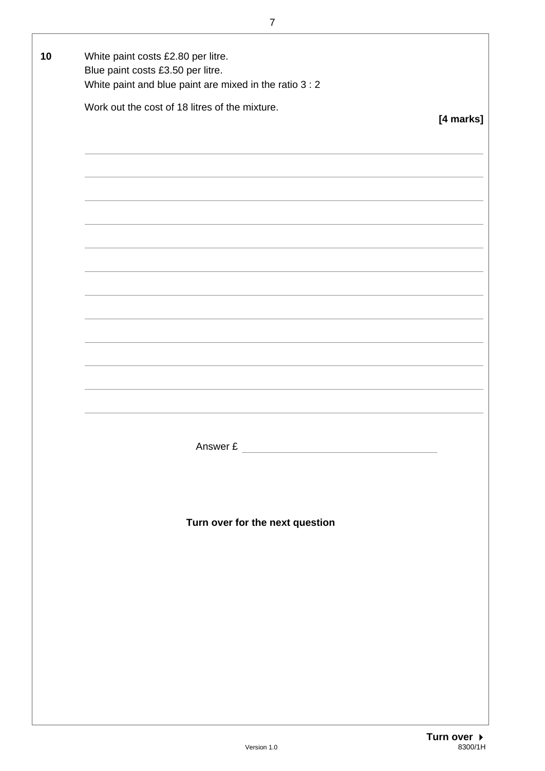| Blue paint costs £3.50 per litre.<br>White paint and blue paint are mixed in the ratio 3 : 2 |           |
|----------------------------------------------------------------------------------------------|-----------|
| Work out the cost of 18 litres of the mixture.                                               | [4 marks] |
|                                                                                              |           |
|                                                                                              |           |
|                                                                                              |           |
|                                                                                              |           |
|                                                                                              |           |
|                                                                                              |           |
|                                                                                              |           |
|                                                                                              |           |
|                                                                                              |           |
|                                                                                              |           |
|                                                                                              |           |
|                                                                                              |           |
| Answer £                                                                                     |           |
|                                                                                              |           |
|                                                                                              |           |
| Turn over for the next question                                                              |           |
|                                                                                              |           |
|                                                                                              |           |
|                                                                                              |           |
|                                                                                              |           |
|                                                                                              |           |
|                                                                                              |           |
|                                                                                              |           |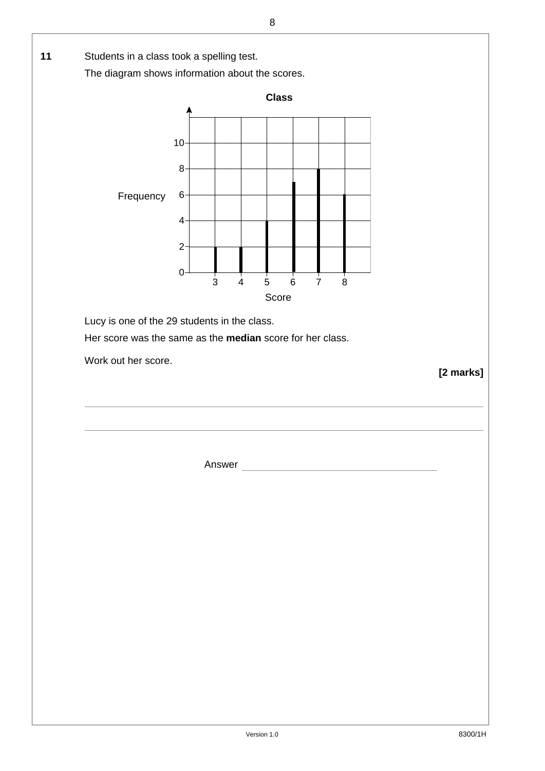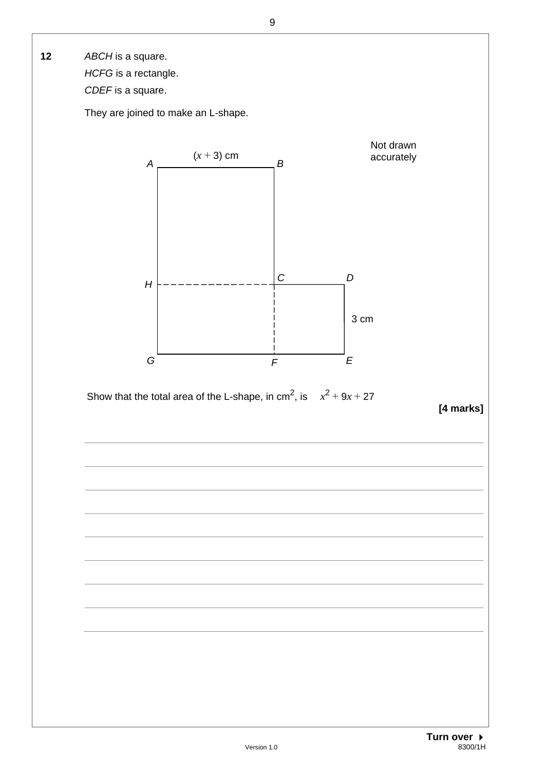**12** *ABCH* is a square.

 *HCFG* is a rectangle.

 *CDEF* is a square.

They are joined to make an L-shape.



Show that the total area of the L-shape, in cm<sup>2</sup>, is  $x^2 + 9x + 27$ 

**[4 marks]**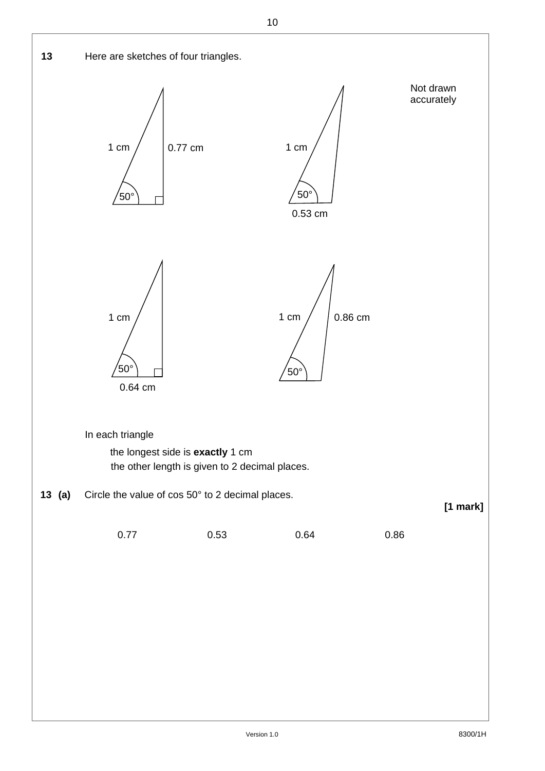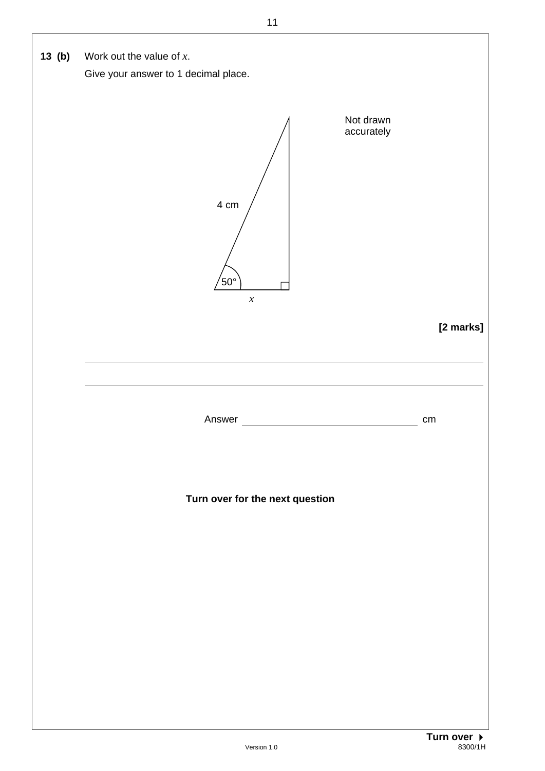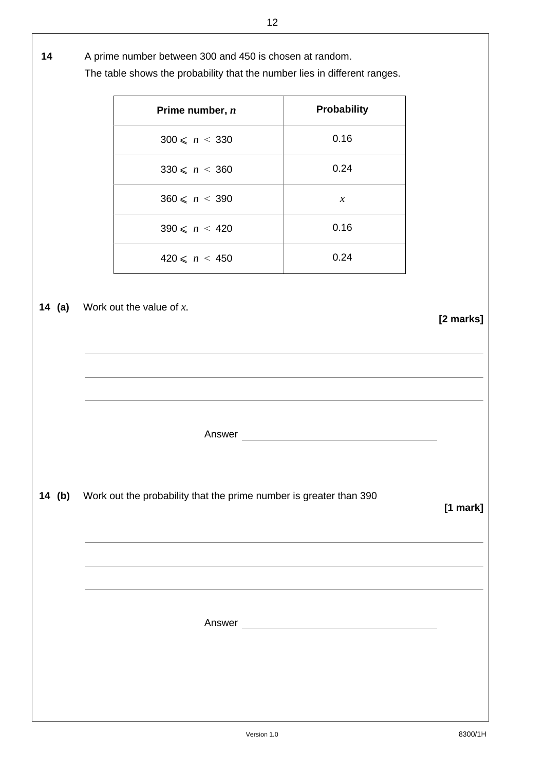## **14** A prime number between 300 and 450 is chosen at random.

The table shows the probability that the number lies in different ranges.

| Prime number, n             | Probability         |           |
|-----------------------------|---------------------|-----------|
| $300 \leq n \leq 330$       | 0.16                |           |
| $330 \leq n \leq 360$       | 0.24                |           |
| $360 \leq n \leq 390$       | $\boldsymbol{\chi}$ |           |
| $390 \leq n \leq 420$       | 0.16                |           |
| $420 \leq n \leq 450$       | 0.24                |           |
| Work out the value of $x$ . |                     | [2 marks] |
| Answer                      |                     |           |

**14 (b)** Work out the probability that the prime number is greater than 390

**14** (a)

## **[1 mark]**

Answer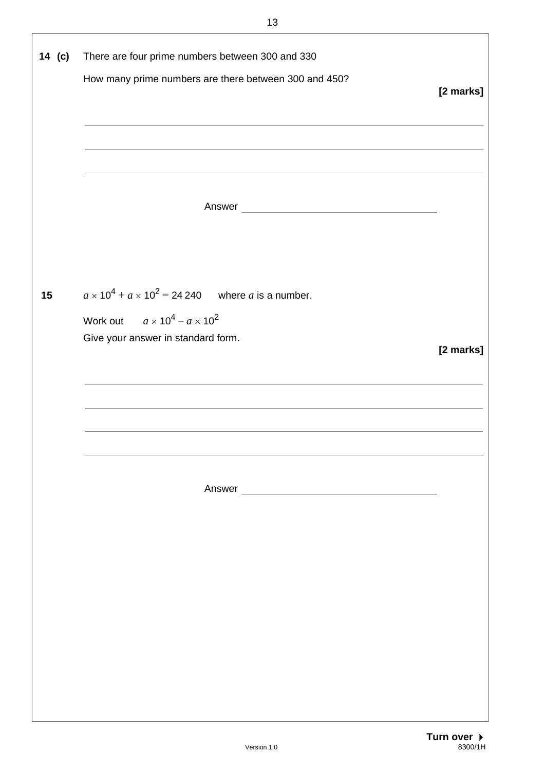| 14 (c) | There are four prime numbers between 300 and 330<br>How many prime numbers are there between 300 and 450?                                         | [2 marks] |
|--------|---------------------------------------------------------------------------------------------------------------------------------------------------|-----------|
|        | Answer                                                                                                                                            |           |
| 15     | $a \times 10^4$ + $a \times 10^2$ = 24 240 where a is a number.<br>Work out $a \times 10^4 - a \times 10^2$<br>Give your answer in standard form. | [2 marks] |
|        |                                                                                                                                                   |           |
|        |                                                                                                                                                   |           |
|        |                                                                                                                                                   |           |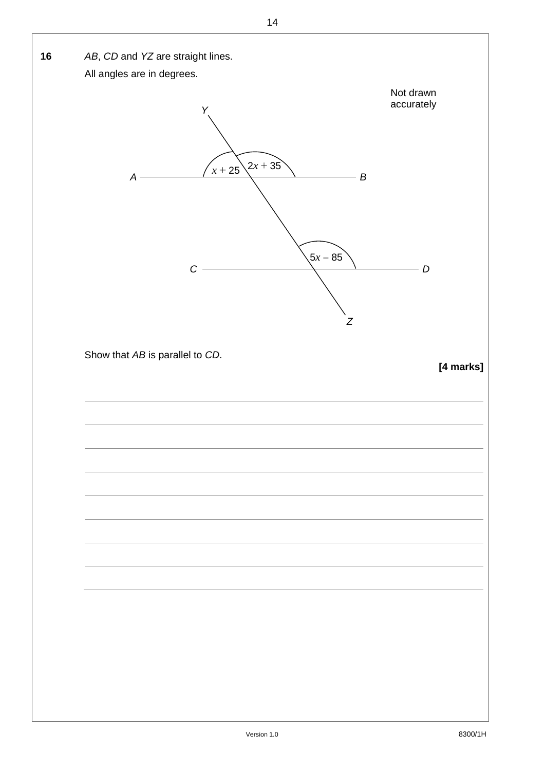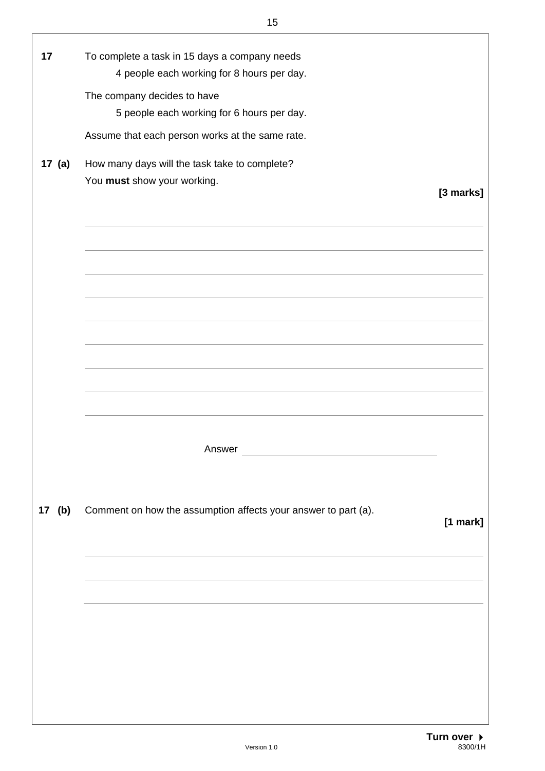| 17       | To complete a task in 15 days a company needs                  |           |
|----------|----------------------------------------------------------------|-----------|
|          | 4 people each working for 8 hours per day.                     |           |
|          |                                                                |           |
|          | The company decides to have                                    |           |
|          | 5 people each working for 6 hours per day.                     |           |
|          | Assume that each person works at the same rate.                |           |
|          |                                                                |           |
| 17 $(a)$ | How many days will the task take to complete?                  |           |
|          | You must show your working.                                    |           |
|          |                                                                | [3 marks] |
|          |                                                                |           |
|          |                                                                |           |
|          |                                                                |           |
|          |                                                                |           |
|          |                                                                |           |
|          |                                                                |           |
|          |                                                                |           |
|          |                                                                |           |
|          |                                                                |           |
|          |                                                                |           |
|          |                                                                |           |
|          |                                                                |           |
|          |                                                                |           |
|          |                                                                |           |
|          |                                                                |           |
|          |                                                                |           |
|          | Answer                                                         |           |
|          |                                                                |           |
|          |                                                                |           |
|          |                                                                |           |
| 17 (b)   | Comment on how the assumption affects your answer to part (a). | [1 mark]  |
|          |                                                                |           |
|          |                                                                |           |
|          |                                                                |           |
|          |                                                                |           |
|          |                                                                |           |
|          |                                                                |           |
|          |                                                                |           |
|          |                                                                |           |
|          |                                                                |           |
|          |                                                                |           |
|          |                                                                |           |
|          |                                                                |           |
|          |                                                                |           |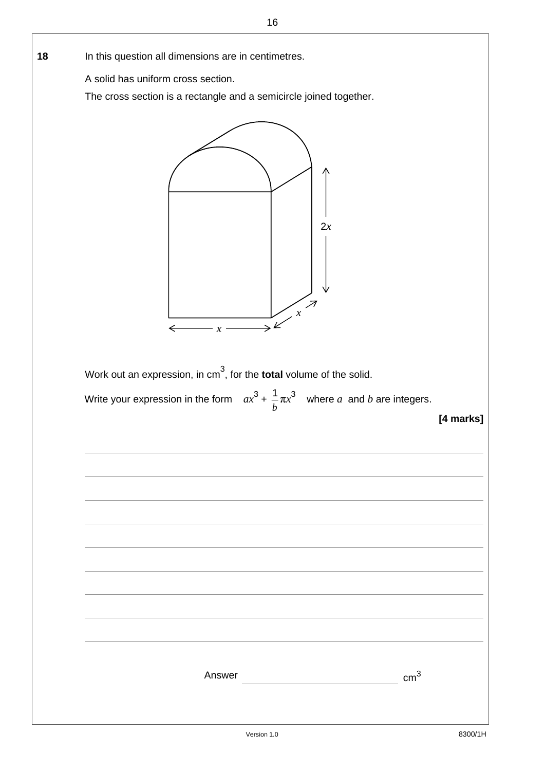| In this question all dimensions are in centimetres.                                         |
|---------------------------------------------------------------------------------------------|
| A solid has uniform cross section.                                                          |
| The cross section is a rectangle and a semicircle joined together.                          |
| 2x<br>$\mathcal{X}$                                                                         |
| ←<br>$\chi$<br>Work out an expression, in $cm3$ , for the <b>total</b> volume of the solid. |
| Write your expression in the form $ax^3 + \frac{1}{b} \pi x^3$ where a and b are integers.  |
| [4 marks]                                                                                   |
|                                                                                             |
|                                                                                             |
|                                                                                             |
|                                                                                             |
|                                                                                             |
|                                                                                             |
|                                                                                             |
|                                                                                             |
|                                                                                             |
|                                                                                             |
| $\text{cm}^3$<br>Answer                                                                     |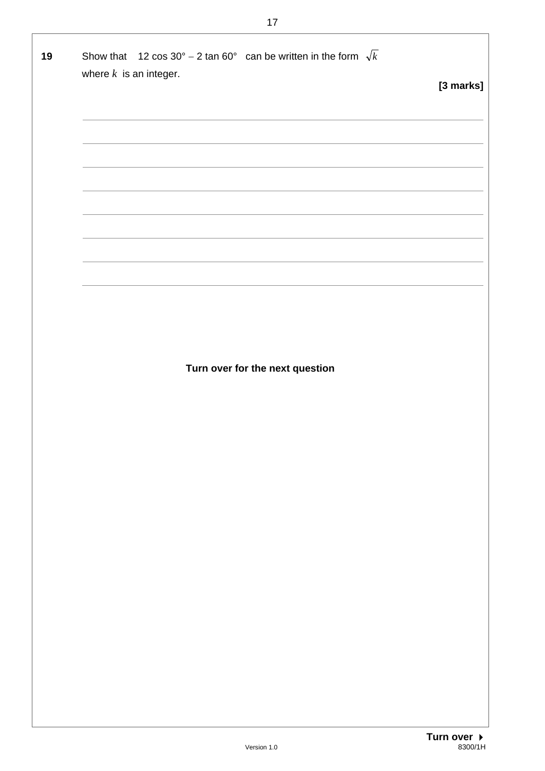| 19 | Show that 12 cos $30^{\circ}$ – 2 tan 60° can be written in the form $\sqrt{k}$<br>where $k$ is an integer. |           |
|----|-------------------------------------------------------------------------------------------------------------|-----------|
|    |                                                                                                             | [3 marks] |
|    |                                                                                                             |           |
|    |                                                                                                             |           |
|    |                                                                                                             |           |
|    |                                                                                                             |           |
|    |                                                                                                             |           |
|    |                                                                                                             |           |
|    |                                                                                                             |           |
|    |                                                                                                             |           |
|    | Turn over for the next question                                                                             |           |
|    |                                                                                                             |           |
|    |                                                                                                             |           |
|    |                                                                                                             |           |
|    |                                                                                                             |           |
|    |                                                                                                             |           |
|    |                                                                                                             |           |
|    |                                                                                                             |           |
|    |                                                                                                             |           |
|    |                                                                                                             |           |
|    |                                                                                                             |           |
|    |                                                                                                             |           |
|    |                                                                                                             |           |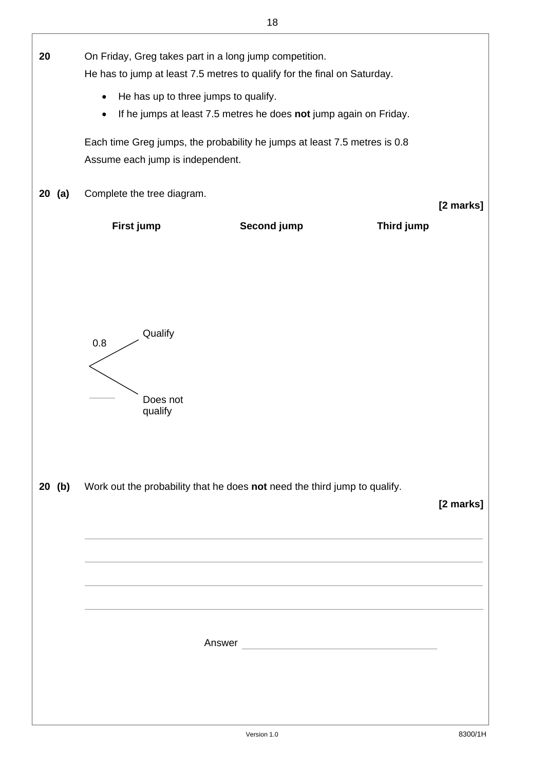| 20       | On Friday, Greg takes part in a long jump competition.<br>He has to jump at least 7.5 metres to qualify for the final on Saturday. |                                                                   |            |           |
|----------|------------------------------------------------------------------------------------------------------------------------------------|-------------------------------------------------------------------|------------|-----------|
|          | He has up to three jumps to qualify.<br>$\bullet$                                                                                  |                                                                   |            |           |
|          | $\bullet$                                                                                                                          | If he jumps at least 7.5 metres he does not jump again on Friday. |            |           |
|          |                                                                                                                                    |                                                                   |            |           |
|          | Each time Greg jumps, the probability he jumps at least 7.5 metres is 0.8                                                          |                                                                   |            |           |
|          | Assume each jump is independent.                                                                                                   |                                                                   |            |           |
|          |                                                                                                                                    |                                                                   |            |           |
| 20 (a)   | Complete the tree diagram.                                                                                                         |                                                                   |            |           |
|          |                                                                                                                                    |                                                                   |            | [2 marks] |
|          |                                                                                                                                    |                                                                   |            |           |
|          | First jump                                                                                                                         | Second jump                                                       | Third jump |           |
|          |                                                                                                                                    |                                                                   |            |           |
|          |                                                                                                                                    |                                                                   |            |           |
|          |                                                                                                                                    |                                                                   |            |           |
|          |                                                                                                                                    |                                                                   |            |           |
|          |                                                                                                                                    |                                                                   |            |           |
|          |                                                                                                                                    |                                                                   |            |           |
|          | Qualify<br>$0.8\,$                                                                                                                 |                                                                   |            |           |
|          |                                                                                                                                    |                                                                   |            |           |
|          |                                                                                                                                    |                                                                   |            |           |
|          |                                                                                                                                    |                                                                   |            |           |
|          | Does not                                                                                                                           |                                                                   |            |           |
|          | qualify                                                                                                                            |                                                                   |            |           |
|          |                                                                                                                                    |                                                                   |            |           |
|          |                                                                                                                                    |                                                                   |            |           |
|          |                                                                                                                                    |                                                                   |            |           |
|          |                                                                                                                                    |                                                                   |            |           |
| $20$ (b) | Work out the probability that he does not need the third jump to qualify.                                                          |                                                                   |            |           |
|          |                                                                                                                                    |                                                                   |            | [2 marks] |
|          |                                                                                                                                    |                                                                   |            |           |
|          |                                                                                                                                    |                                                                   |            |           |
|          |                                                                                                                                    |                                                                   |            |           |
|          |                                                                                                                                    |                                                                   |            |           |
|          |                                                                                                                                    |                                                                   |            |           |
|          |                                                                                                                                    |                                                                   |            |           |
|          |                                                                                                                                    |                                                                   |            |           |
|          |                                                                                                                                    |                                                                   |            |           |
|          |                                                                                                                                    |                                                                   |            |           |
|          |                                                                                                                                    |                                                                   |            |           |
|          |                                                                                                                                    |                                                                   |            |           |
|          |                                                                                                                                    |                                                                   |            |           |
|          |                                                                                                                                    |                                                                   |            |           |
|          |                                                                                                                                    |                                                                   |            |           |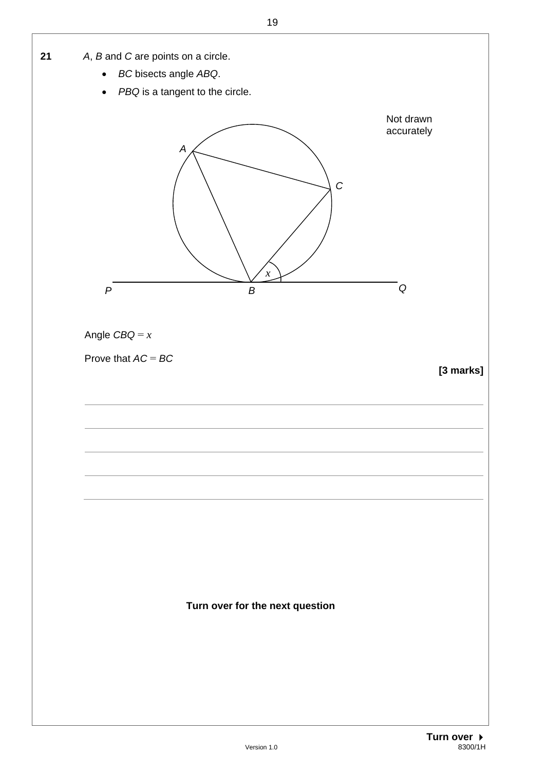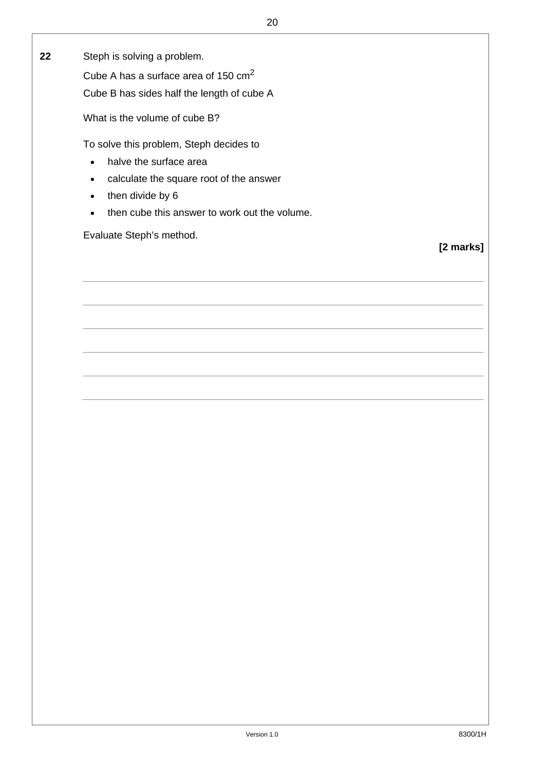**22** Steph is solving a problem.

Cube A has a surface area of 150 cm<sup>2</sup>

Cube B has sides half the length of cube A

What is the volume of cube B?

To solve this problem, Steph decides to

- halve the surface area
- calculate the square root of the answer
- $\bullet$  then divide by 6
- then cube this answer to work out the volume.

Evaluate Steph's method.

**[2 marks]**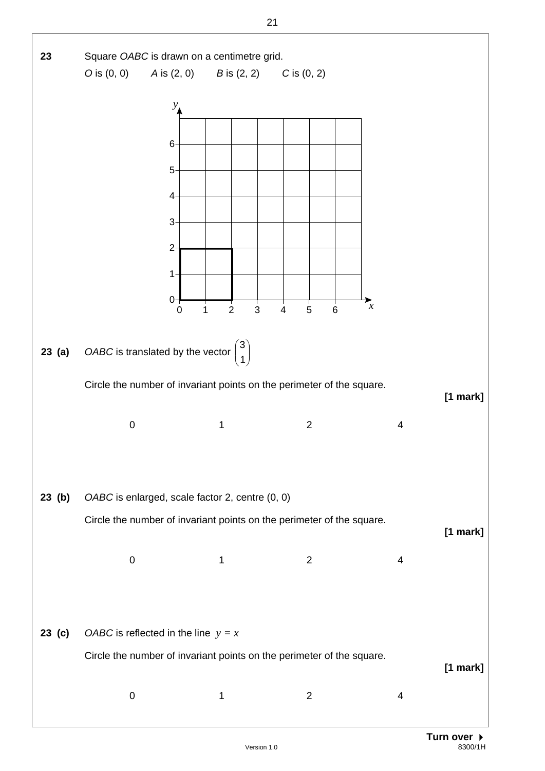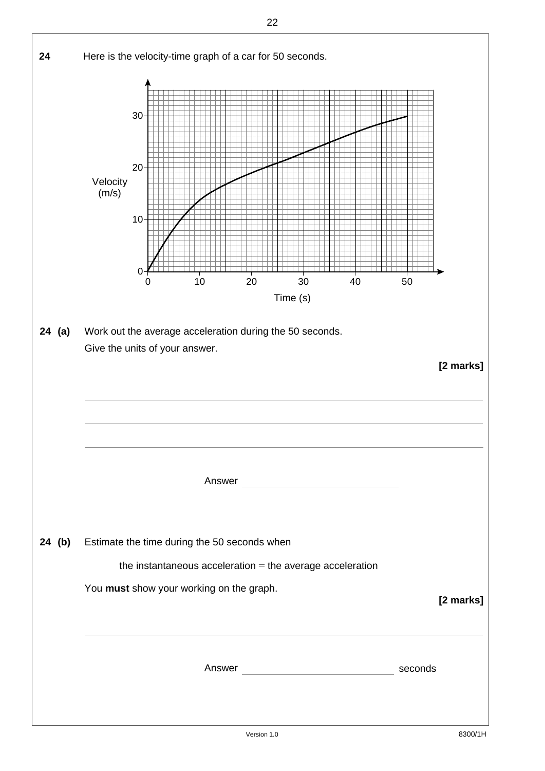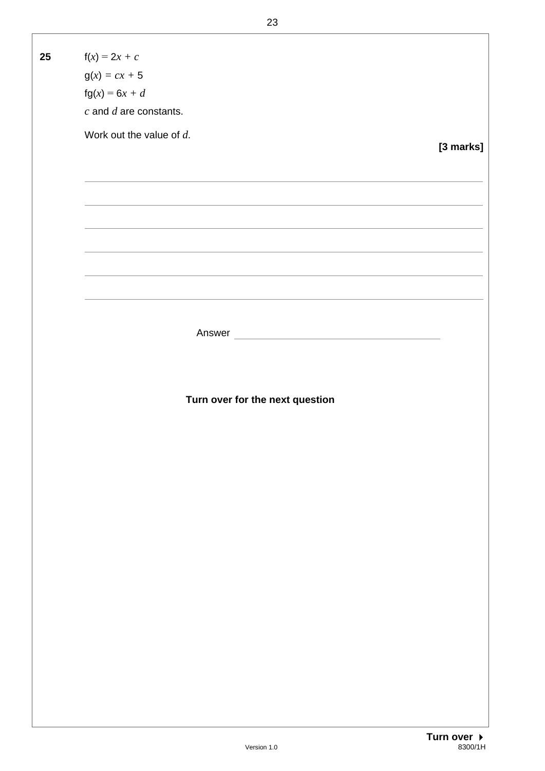**25**  $f(x) = 2x + c$  $g(x) = cx + 5$  fg(*x*) = 6*x + d c* and *d* are constants. Work out the value of *d*. **[3 marks]** Answer **Turn over for the next question** 

Version 1.0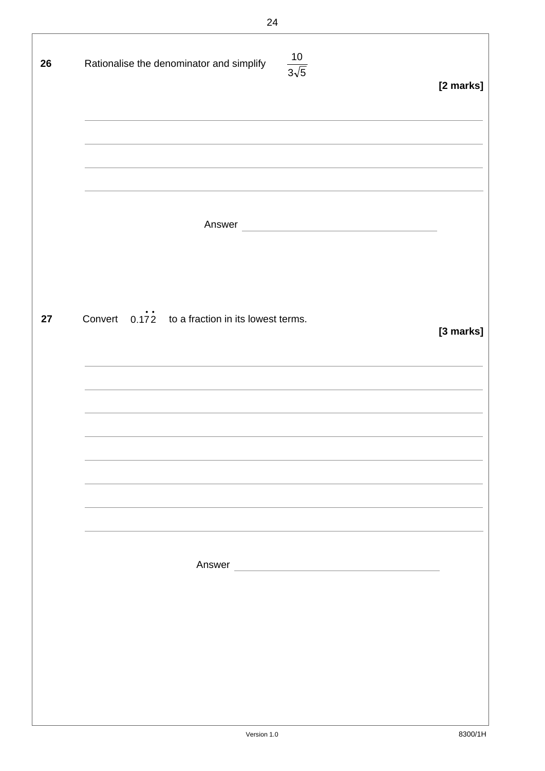| 26 | $\frac{10}{3\sqrt{5}}$<br>Rationalise the denominator and simplify<br><u> 1989 - Johann Stoff, amerikansk politiker (d. 1989)</u> | [2 marks] |
|----|-----------------------------------------------------------------------------------------------------------------------------------|-----------|
|    |                                                                                                                                   |           |
| 27 | Convert $0.1\overline{72}$ to a fraction in its lowest terms.                                                                     | [3 marks] |
|    |                                                                                                                                   |           |
|    | Answer<br><u> 1980 - Jan Sterling von Berling von Berling von Berling von Berling von Berling von Berling von Berling von B</u>   |           |
|    |                                                                                                                                   |           |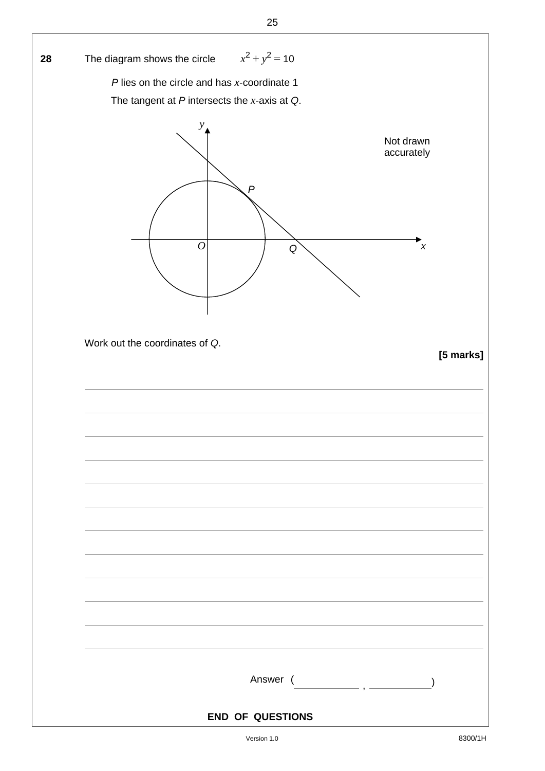| 28 | The diagram shows the circle $x^2 + y^2 = 10$                                                       |
|----|-----------------------------------------------------------------------------------------------------|
|    | $P$ lies on the circle and has $x$ -coordinate 1                                                    |
|    | The tangent at $P$ intersects the $x$ -axis at $Q$ .                                                |
|    | y<br>Not drawn<br>accurately<br>$\overline{P}$<br>$\overline{O}$<br>$\boldsymbol{\mathcal{X}}$<br>Q |
|    | Work out the coordinates of Q.<br>[5 marks]                                                         |
|    |                                                                                                     |
|    |                                                                                                     |
|    | Answer (                                                                                            |
|    |                                                                                                     |
|    | <b>END OF QUESTIONS</b>                                                                             |